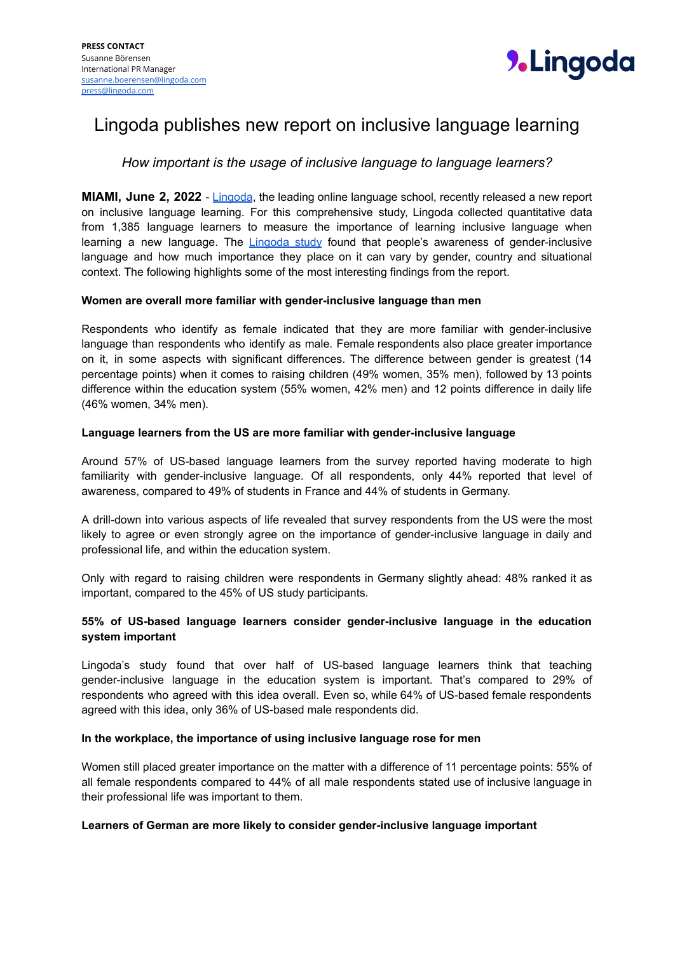

# Lingoda publishes new report on inclusive language learning

## *How important is the usage of inclusive language to language learners?*

**MIAMI, June 2, 2022** - [Lingoda](https://www.lingoda.com/en/), the leading online language school, recently released a new report on inclusive language learning. For this comprehensive study, Lingoda collected quantitative data from 1,385 language learners to measure the importance of learning inclusive language when learning a new language. The [Lingoda](https://www.lingoda.com/en/p/research/lingoda-study-investigates-the-importance-of-inclusive-language/) study found that people's awareness of gender-inclusive language and how much importance they place on it can vary by gender, country and situational context. The following highlights some of the most interesting findings from the report.

## **Women are overall more familiar with gender-inclusive language than men**

Respondents who identify as female indicated that they are more familiar with gender-inclusive language than respondents who identify as male. Female respondents also place greater importance on it, in some aspects with significant differences. The difference between gender is greatest (14 percentage points) when it comes to raising children (49% women, 35% men), followed by 13 points difference within the education system (55% women, 42% men) and 12 points difference in daily life (46% women, 34% men).

#### **Language learners from the US are more familiar with gender-inclusive language**

Around 57% of US-based language learners from the survey reported having moderate to high familiarity with gender-inclusive language. Of all respondents, only 44% reported that level of awareness, compared to 49% of students in France and 44% of students in Germany.

A drill-down into various aspects of life revealed that survey respondents from the US were the most likely to agree or even strongly agree on the importance of gender-inclusive language in daily and professional life, and within the education system.

Only with regard to raising children were respondents in Germany slightly ahead: 48% ranked it as important, compared to the 45% of US study participants.

## **55% of US-based language learners consider gender-inclusive language in the education system important**

Lingoda's study found that over half of US-based language learners think that teaching gender-inclusive language in the education system is important. That's compared to 29% of respondents who agreed with this idea overall. Even so, while 64% of US-based female respondents agreed with this idea, only 36% of US-based male respondents did.

#### **In the workplace, the importance of using inclusive language rose for men**

Women still placed greater importance on the matter with a difference of 11 percentage points: 55% of all female respondents compared to 44% of all male respondents stated use of inclusive language in their professional life was important to them.

## **Learners of German are more likely to consider gender-inclusive language important**